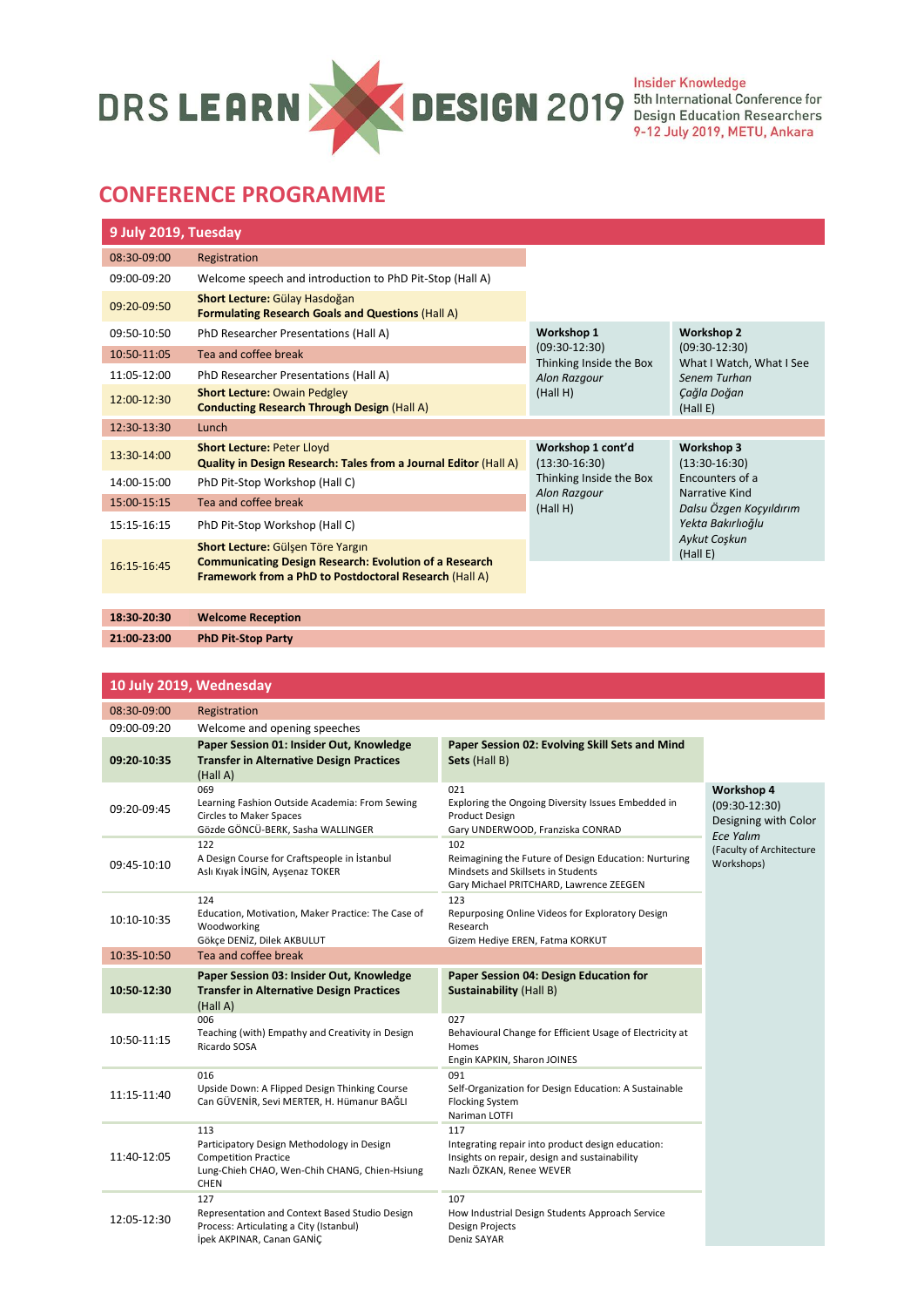

## **CONFERENCE PROGRAMME**

| 9 July 2019, Tuesday |                                                                                                                                                              |                                            |                                                                                                                    |  |
|----------------------|--------------------------------------------------------------------------------------------------------------------------------------------------------------|--------------------------------------------|--------------------------------------------------------------------------------------------------------------------|--|
| 08:30-09:00          | Registration                                                                                                                                                 |                                            |                                                                                                                    |  |
| 09:00-09:20          | Welcome speech and introduction to PhD Pit-Stop (Hall A)                                                                                                     |                                            |                                                                                                                    |  |
| 09:20-09:50          | Short Lecture: Gülay Hasdoğan<br><b>Formulating Research Goals and Questions (Hall A)</b>                                                                    |                                            |                                                                                                                    |  |
| 09:50-10:50          | PhD Researcher Presentations (Hall A)                                                                                                                        | Workshop 1                                 | <b>Workshop 2</b><br>$(09:30-12:30)$<br>What I Watch, What I See<br>Senem Turhan<br>Çağla Doğan<br>(Hall E)        |  |
| 10:50-11:05          | Tea and coffee break                                                                                                                                         | $(09:30-12:30)$<br>Thinking Inside the Box |                                                                                                                    |  |
| 11:05-12:00          | PhD Researcher Presentations (Hall A)                                                                                                                        | Alon Razgour                               |                                                                                                                    |  |
| 12:00-12:30          | <b>Short Lecture: Owain Pedgley</b><br><b>Conducting Research Through Design (Hall A)</b>                                                                    | (Hall H)                                   |                                                                                                                    |  |
| 12:30-13:30          | Lunch                                                                                                                                                        |                                            |                                                                                                                    |  |
| 13:30-14:00          | <b>Short Lecture: Peter Lloyd</b><br>Quality in Design Research: Tales from a Journal Editor (Hall A)                                                        | Workshop 1 cont'd<br>$(13:30-16:30)$       | Workshop 3<br>$(13:30-16:30)$<br>Encounters of a<br>Narrative Kind<br>Dalsu Özgen Koçyıldırım<br>Yekta Bakırlıoğlu |  |
| 14:00-15:00          | PhD Pit-Stop Workshop (Hall C)                                                                                                                               | Thinking Inside the Box                    |                                                                                                                    |  |
| 15:00-15:15          | Tea and coffee break                                                                                                                                         | Alon Razgour<br>(Hall H)                   |                                                                                                                    |  |
| 15:15-16:15          | PhD Pit-Stop Workshop (Hall C)                                                                                                                               |                                            |                                                                                                                    |  |
| 16:15-16:45          | Short Lecture: Gülşen Töre Yargın<br><b>Communicating Design Research: Evolution of a Research</b><br>Framework from a PhD to Postdoctoral Research (Hall A) |                                            | Aykut Coşkun<br>(Hall E)                                                                                           |  |
|                      |                                                                                                                                                              |                                            |                                                                                                                    |  |
| 18:30-20:30          | <b>Welcome Reception</b>                                                                                                                                     |                                            |                                                                                                                    |  |

**21:00-23:00 PhD Pit-Stop Party**

## **10 July 2019, Wednesday**

| 08:30-09:00 | Registration                                                                                                                                     |                                                                                                                                               |                                                                           |
|-------------|--------------------------------------------------------------------------------------------------------------------------------------------------|-----------------------------------------------------------------------------------------------------------------------------------------------|---------------------------------------------------------------------------|
| 09:00-09:20 | Welcome and opening speeches                                                                                                                     |                                                                                                                                               |                                                                           |
| 09:20-10:35 | Paper Session 01: Insider Out, Knowledge<br><b>Transfer in Alternative Design Practices</b><br>(Hall A)                                          | Paper Session 02: Evolving Skill Sets and Mind<br>Sets (Hall B)                                                                               |                                                                           |
| 09:20-09:45 | 069<br>Learning Fashion Outside Academia: From Sewing<br><b>Circles to Maker Spaces</b><br>Gözde GÖNCÜ-BERK, Sasha WALLINGER                     | 021<br>Exploring the Ongoing Diversity Issues Embedded in<br><b>Product Design</b><br>Gary UNDERWOOD, Franziska CONRAD                        | Workshop 4<br>$(09:30-12:30)$<br>Designing with Color<br><b>Ece Yalım</b> |
| 09:45-10:10 | 122<br>A Design Course for Craftspeople in İstanbul<br>Aslı Kıyak İNGİN, Ayşenaz TOKER                                                           | 102<br>Reimagining the Future of Design Education: Nurturing<br>Mindsets and Skillsets in Students<br>Gary Michael PRITCHARD, Lawrence ZEEGEN | (Faculty of Architecture<br>Workshops)                                    |
| 10:10-10:35 | 124<br>Education, Motivation, Maker Practice: The Case of<br>Woodworking<br>Gökce DENİZ, Dilek AKBULUT                                           | 123<br>Repurposing Online Videos for Exploratory Design<br>Research<br>Gizem Hediye EREN, Fatma KORKUT                                        |                                                                           |
| 10:35-10:50 | Tea and coffee break                                                                                                                             |                                                                                                                                               |                                                                           |
| 10:50-12:30 | Paper Session 03: Insider Out, Knowledge<br><b>Transfer in Alternative Design Practices</b><br>(Hall A)                                          | Paper Session 04: Design Education for<br><b>Sustainability (Hall B)</b>                                                                      |                                                                           |
| 10:50-11:15 | 006<br>Teaching (with) Empathy and Creativity in Design<br>Ricardo SOSA                                                                          | 027<br>Behavioural Change for Efficient Usage of Electricity at<br>Homes<br>Engin KAPKIN, Sharon JOINES                                       |                                                                           |
| 11:15-11:40 | 016<br>Upside Down: A Flipped Design Thinking Course<br>Can GÜVENİR, Sevi MERTER, H. Hümanur BAĞLI                                               | 091<br>Self-Organization for Design Education: A Sustainable<br><b>Flocking System</b><br>Nariman LOTFI                                       |                                                                           |
| 11:40-12:05 | 113<br>Participatory Design Methodology in Design<br><b>Competition Practice</b><br>Lung-Chieh CHAO, Wen-Chih CHANG, Chien-Hsiung<br><b>CHEN</b> | 117<br>Integrating repair into product design education:<br>Insights on repair, design and sustainability<br>Nazlı ÖZKAN, Renee WEVER         |                                                                           |
| 12:05-12:30 | 127<br>Representation and Context Based Studio Design<br>Process: Articulating a City (Istanbul)<br>İpek AKPINAR, Canan GANİÇ                    | 107<br>How Industrial Design Students Approach Service<br><b>Design Projects</b><br>Deniz SAYAR                                               |                                                                           |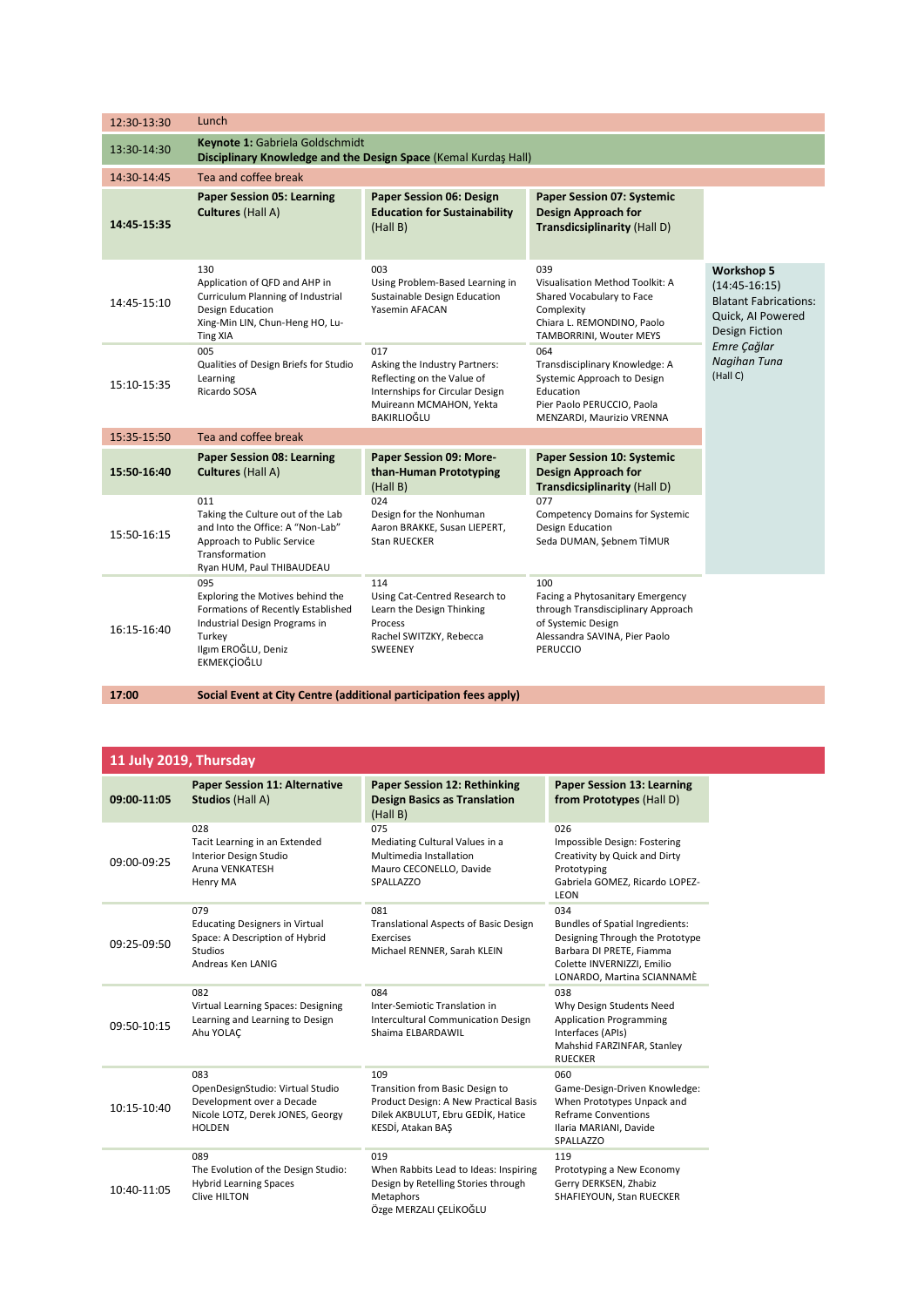| 12:30-13:30 | Lunch                                                                                                                                                                 |                                                                                                                                                 |                                                                                                                                                         |                                                                                                      |  |
|-------------|-----------------------------------------------------------------------------------------------------------------------------------------------------------------------|-------------------------------------------------------------------------------------------------------------------------------------------------|---------------------------------------------------------------------------------------------------------------------------------------------------------|------------------------------------------------------------------------------------------------------|--|
| 13:30-14:30 | Keynote 1: Gabriela Goldschmidt<br>Disciplinary Knowledge and the Design Space (Kemal Kurdaş Hall)                                                                    |                                                                                                                                                 |                                                                                                                                                         |                                                                                                      |  |
| 14:30-14:45 | Tea and coffee break                                                                                                                                                  |                                                                                                                                                 |                                                                                                                                                         |                                                                                                      |  |
| 14:45 15:35 | <b>Paper Session 05: Learning</b><br><b>Cultures</b> (Hall A)                                                                                                         | <b>Paper Session 06: Design</b><br><b>Education for Sustainability</b><br>(Hall B)                                                              | <b>Paper Session 07: Systemic</b><br><b>Design Approach for</b><br>Transdicsiplinarity (Hall D)                                                         |                                                                                                      |  |
| 14:45-15:10 | 130<br>Application of QFD and AHP in<br>Curriculum Planning of Industrial<br>Design Education<br>Xing-Min LIN, Chun-Heng HO, Lu-<br><b>Ting XIA</b>                   | 003<br>Using Problem-Based Learning in<br>Sustainable Design Education<br>Yasemin AFACAN                                                        | 039<br>Visualisation Method Toolkit: A<br>Shared Vocabulary to Face<br>Complexity<br>Chiara L. REMONDINO, Paolo<br>TAMBORRINI, Wouter MEYS              | Workshop 5<br>$(14:45-16:15)$<br><b>Blatant Fabrications:</b><br>Quick, AI Powered<br>Design Fiction |  |
| 15:10-15:35 | 005<br>Qualities of Design Briefs for Studio<br>Learning<br>Ricardo SOSA                                                                                              | 017<br>Asking the Industry Partners:<br>Reflecting on the Value of<br>Internships for Circular Design<br>Muireann MCMAHON, Yekta<br>BAKIRLIOĞLU | 064<br>Transdisciplinary Knowledge: A<br>Systemic Approach to Design<br>Education<br>Pier Paolo PERUCCIO, Paola<br>MENZARDI, Maurizio VRENNA            | Emre Çağlar<br>Nagihan Tuna<br>(Hall C)                                                              |  |
| 15:35-15:50 | Tea and coffee break                                                                                                                                                  |                                                                                                                                                 |                                                                                                                                                         |                                                                                                      |  |
| 15:50-16:40 | <b>Paper Session 08: Learning</b><br><b>Cultures (Hall A)</b>                                                                                                         | Paper Session 09: More-<br>than-Human Prototyping<br>(Hall B)                                                                                   | <b>Paper Session 10: Systemic</b><br><b>Design Approach for</b><br>Transdicsiplinarity (Hall D)                                                         |                                                                                                      |  |
| 15:50-16:15 | 011<br>Taking the Culture out of the Lab<br>and Into the Office: A "Non-Lab"<br>Approach to Public Service<br>Transformation<br>Ryan HUM, Paul THIBAUDEAU             | 024<br>Design for the Nonhuman<br>Aaron BRAKKE, Susan LIEPERT,<br>Stan RUECKER                                                                  | 077<br><b>Competency Domains for Systemic</b><br>Design Education<br>Seda DUMAN, Şebnem TİMUR                                                           |                                                                                                      |  |
| 16:15-16:40 | 095<br>Exploring the Motives behind the<br>Formations of Recently Established<br>Industrial Design Programs in<br>Turkey<br>Ilgım EROĞLU, Deniz<br><b>EKMEKCIOĞLU</b> | 114<br>Using Cat-Centred Research to<br>Learn the Design Thinking<br>Process<br>Rachel SWITZKY, Rebecca<br>SWEENEY                              | 100<br>Facing a Phytosanitary Emergency<br>through Transdisciplinary Approach<br>of Systemic Design<br>Alessandra SAVINA, Pier Paolo<br><b>PERUCCIO</b> |                                                                                                      |  |

**17:00 Social Event at City Centre (additional participation fees apply)**

## **11 July 2019, Thursday**

| 09:00 11:05 | <b>Paper Session 11: Alternative</b><br><b>Studios (Hall A)</b>                                                           | <b>Paper Session 12: Rethinking</b><br><b>Design Basics as Translation</b><br>(Hall B)                                                    | <b>Paper Session 13: Learning</b><br>from Prototypes (Hall D)                                                                                                     |
|-------------|---------------------------------------------------------------------------------------------------------------------------|-------------------------------------------------------------------------------------------------------------------------------------------|-------------------------------------------------------------------------------------------------------------------------------------------------------------------|
| 09:00-09:25 | 028<br>Tacit Learning in an Extended<br>Interior Design Studio<br>Aruna VENKATESH<br>Henry MA                             | 075<br>Mediating Cultural Values in a<br>Multimedia Installation<br>Mauro CECONELLO, Davide<br>SPALLAZZO                                  | 026<br>Impossible Design: Fostering<br>Creativity by Quick and Dirty<br>Prototyping<br>Gabriela GOMEZ, Ricardo LOPEZ-<br>LEON                                     |
| 09:25-09:50 | 079<br><b>Educating Designers in Virtual</b><br>Space: A Description of Hybrid<br><b>Studios</b><br>Andreas Ken LANIG     | 081<br><b>Translational Aspects of Basic Design</b><br>Exercises<br>Michael RENNER, Sarah KLEIN                                           | 034<br>Bundles of Spatial Ingredients:<br>Designing Through the Prototype<br>Barbara DI PRETE, Fiamma<br>Colette INVERNIZZI, Emilio<br>LONARDO, Martina SCIANNAMÈ |
| 09:50-10:15 | 082<br>Virtual Learning Spaces: Designing<br>Learning and Learning to Design<br>Ahu YOLAC                                 | 084<br>Inter-Semiotic Translation in<br><b>Intercultural Communication Design</b><br>Shaima ELBARDAWIL                                    | 038<br>Why Design Students Need<br><b>Application Programming</b><br>Interfaces (APIs)<br>Mahshid FARZINFAR, Stanley<br><b>RUECKER</b>                            |
| 10:15-10:40 | 083<br>OpenDesignStudio: Virtual Studio<br>Development over a Decade<br>Nicole LOTZ, Derek JONES, Georgy<br><b>HOLDEN</b> | 109<br>Transition from Basic Design to<br>Product Design: A New Practical Basis<br>Dilek AKBULUT, Ebru GEDİK, Hatice<br>KESDİ, Atakan BAŞ | 060<br>Game-Design-Driven Knowledge:<br>When Prototypes Unpack and<br><b>Reframe Conventions</b><br>Ilaria MARIANI, Davide<br>SPALLAZZO                           |
| 10:40-11:05 | 089<br>The Evolution of the Design Studio:<br><b>Hybrid Learning Spaces</b><br>Clive HILTON                               | 019<br>When Rabbits Lead to Ideas: Inspiring<br>Design by Retelling Stories through<br><b>Metaphors</b><br>Özge MERZALI CELİKOĞLU         | 119<br>Prototyping a New Economy<br>Gerry DERKSEN, Zhabiz<br>SHAFIEYOUN, Stan RUECKER                                                                             |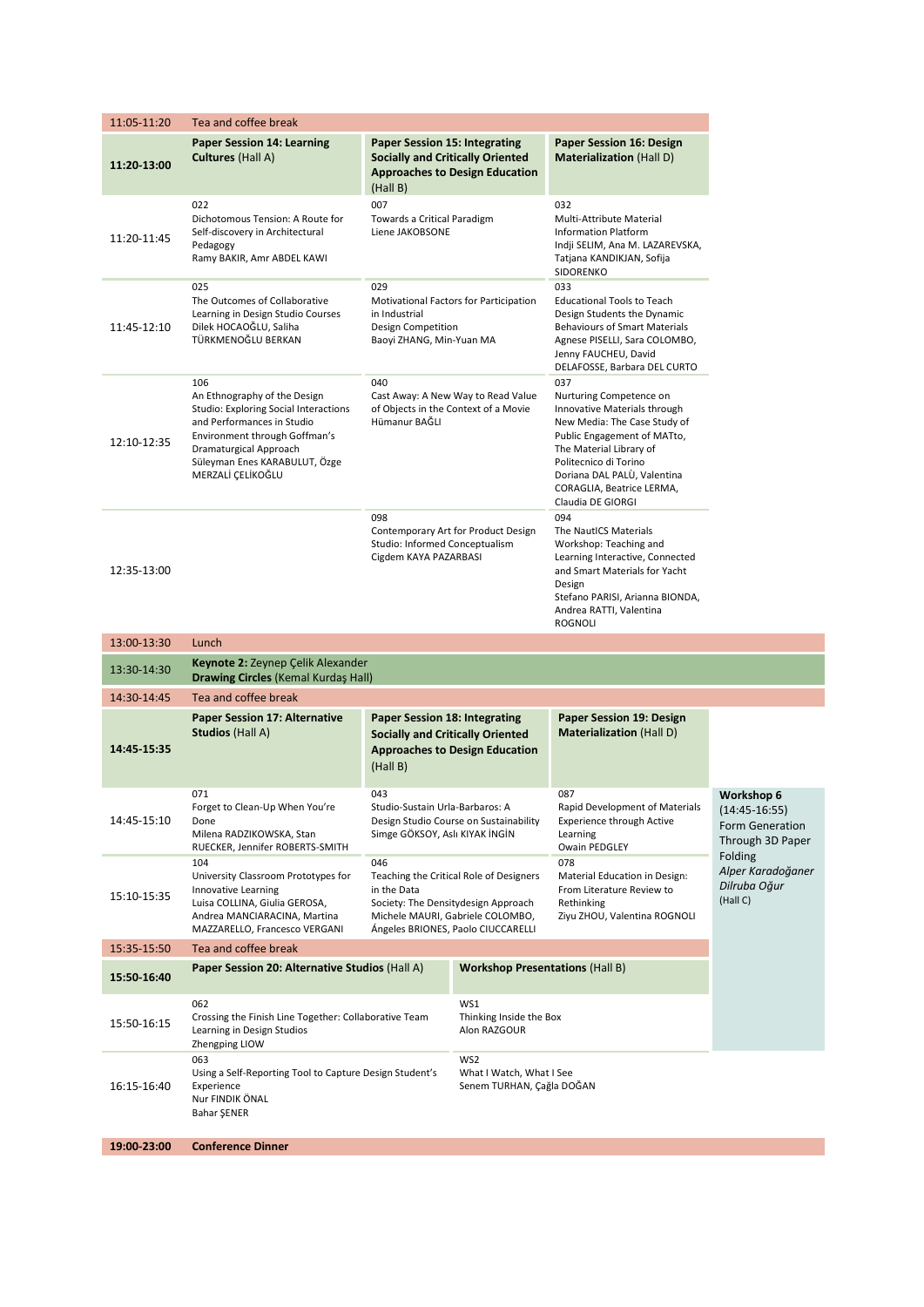| 11:05-11:20 | Tea and coffee break                                                                                                                                                                                                        |                                                                                                                                                                                |                                                                                  |                                                                                                                                                                                                                      |                                                                                 |                                                                                                                                                         |  |
|-------------|-----------------------------------------------------------------------------------------------------------------------------------------------------------------------------------------------------------------------------|--------------------------------------------------------------------------------------------------------------------------------------------------------------------------------|----------------------------------------------------------------------------------|----------------------------------------------------------------------------------------------------------------------------------------------------------------------------------------------------------------------|---------------------------------------------------------------------------------|---------------------------------------------------------------------------------------------------------------------------------------------------------|--|
| 11:20-13:00 | <b>Paper Session 14: Learning</b><br><b>Cultures</b> (Hall A)                                                                                                                                                               | <b>Paper Session 15: Integrating</b><br>(Hall B)                                                                                                                               | <b>Socially and Critically Oriented</b><br><b>Approaches to Design Education</b> | Paper Session 16: Design<br><b>Materialization (Hall D)</b>                                                                                                                                                          |                                                                                 |                                                                                                                                                         |  |
| 11:20-11:45 | 022<br>Dichotomous Tension: A Route for<br>Self-discovery in Architectural<br>Pedagogy<br>Ramy BAKIR, Amr ABDEL KAWI                                                                                                        | 007<br>Towards a Critical Paradigm<br>Liene JAKOBSONE                                                                                                                          |                                                                                  | 032<br>Multi-Attribute Material<br><b>Information Platform</b><br>Indji SELIM, Ana M. LAZAREVSKA,<br>Tatjana KANDIKJAN, Sofija<br>SIDORENKO                                                                          |                                                                                 |                                                                                                                                                         |  |
| 11:45-12:10 | 025<br>The Outcomes of Collaborative<br>Learning in Design Studio Courses<br>Dilek HOCAOĞLU, Saliha<br>TÜRKMENOĞLU BERKAN                                                                                                   | 029<br>Motivational Factors for Participation<br>in Industrial<br>Design Competition<br>Baoyi ZHANG, Min-Yuan MA                                                               |                                                                                  | 033<br><b>Educational Tools to Teach</b><br>Design Students the Dynamic<br><b>Behaviours of Smart Materials</b><br>Agnese PISELLI, Sara COLOMBO,<br>Jenny FAUCHEU, David<br>DELAFOSSE, Barbara DEL CURTO             |                                                                                 |                                                                                                                                                         |  |
| 12:10-12:35 | 106<br>An Ethnography of the Design<br>Studio: Exploring Social Interactions<br>and Performances in Studio<br>Environment through Goffman's<br>Dramaturgical Approach<br>Süleyman Enes KARABULUT, Özge<br>MERZALİ ÇELİKOĞLU | 040<br>Cast Away: A New Way to Read Value<br>of Objects in the Context of a Movie<br>Hümanur BAĞLI                                                                             |                                                                                  | 037<br>Nurturing Competence on<br>The Material Library of<br>Politecnico di Torino<br>Claudia DE GIORGI                                                                                                              |                                                                                 | Innovative Materials through<br>New Media: The Case Study of<br>Public Engagement of MATto,<br>Doriana DAL PALÙ, Valentina<br>CORAGLIA, Beatrice LERMA, |  |
| 12:35-13:00 |                                                                                                                                                                                                                             | 098<br>Contemporary Art for Product Design<br>Studio: Informed Conceptualism<br>Cigdem KAYA PAZARBASI                                                                          |                                                                                  | 094<br>The NautICS Materials<br>Workshop: Teaching and<br>Learning Interactive, Connected<br>and Smart Materials for Yacht<br>Design<br>Stefano PARISI, Arianna BIONDA,<br>Andrea RATTI, Valentina<br><b>ROGNOLI</b> |                                                                                 |                                                                                                                                                         |  |
| 13:00-13:30 | Lunch                                                                                                                                                                                                                       |                                                                                                                                                                                |                                                                                  |                                                                                                                                                                                                                      |                                                                                 |                                                                                                                                                         |  |
| 13:30-14:30 | Keynote 2: Zeynep Çelik Alexander<br><b>Drawing Circles (Kemal Kurdaş Hall)</b>                                                                                                                                             |                                                                                                                                                                                |                                                                                  |                                                                                                                                                                                                                      |                                                                                 |                                                                                                                                                         |  |
| 14:30-14:45 | Tea and coffee break                                                                                                                                                                                                        |                                                                                                                                                                                |                                                                                  |                                                                                                                                                                                                                      |                                                                                 |                                                                                                                                                         |  |
| 14:45 15:35 | <b>Paper Session 17: Alternative</b><br><b>Studios (Hall A)</b>                                                                                                                                                             | <b>Paper Session 18: Integrating</b><br><b>Socially and Critically Oriented</b><br><b>Approaches to Design Education</b><br>(Hall B)                                           |                                                                                  | <b>Paper Session 19: Design</b><br><b>Materialization</b> (Hall D)                                                                                                                                                   |                                                                                 |                                                                                                                                                         |  |
| 14:45-15:10 | 071<br>Forget to Clean-Up When You're<br>Done<br>Milena RADZIKOWSKA, Stan<br>RUECKER, Jennifer ROBERTS-SMITH                                                                                                                | 043<br>Studio-Sustain Urla-Barbaros: A<br>Design Studio Course on Sustainability<br>Simge GÖKSOY, Aslı KIYAK İNGİN                                                             |                                                                                  | 087<br>Rapid Development of Materials<br><b>Experience through Active</b><br>Learning<br>Owain PEDGLEY                                                                                                               | Workshop 6<br>$(14:45-16:55)$<br>Form Generation<br>Through 3D Paper<br>Folding |                                                                                                                                                         |  |
| 15:10-15:35 | 104<br>University Classroom Prototypes for<br>Innovative Learning<br>Luisa COLLINA, Giulia GEROSA,<br>Andrea MANCIARACINA, Martina<br>MAZZARELLO, Francesco VERGANI                                                         | 046<br>Teaching the Critical Role of Designers<br>in the Data<br>Society: The Densitydesign Approach<br>Michele MAURI, Gabriele COLOMBO,<br>Ángeles BRIONES, Paolo CIUCCARELLI |                                                                                  | 078<br>Material Education in Design:<br>From Literature Review to<br>Rethinking<br>Ziyu ZHOU, Valentina ROGNOLI                                                                                                      | Alper Karadoğaner<br>Dilruba Oğur<br>(Hall C)                                   |                                                                                                                                                         |  |
| 15:35-15:50 | Tea and coffee break                                                                                                                                                                                                        |                                                                                                                                                                                |                                                                                  |                                                                                                                                                                                                                      |                                                                                 |                                                                                                                                                         |  |
| 15:50 16:40 | Paper Session 20: Alternative Studios (Hall A)                                                                                                                                                                              |                                                                                                                                                                                | <b>Workshop Presentations (Hall B)</b>                                           |                                                                                                                                                                                                                      |                                                                                 |                                                                                                                                                         |  |
| 15:50-16:15 | 062<br>Crossing the Finish Line Together: Collaborative Team<br>Learning in Design Studios<br>Zhengping LIOW                                                                                                                | WS1<br>Thinking Inside the Box<br>Alon RAZGOUR                                                                                                                                 |                                                                                  |                                                                                                                                                                                                                      |                                                                                 |                                                                                                                                                         |  |
| 16:15-16:40 | 063<br>Using a Self-Reporting Tool to Capture Design Student's<br>Experience<br>Nur FINDIK ÖNAL<br>Bahar ŞENER                                                                                                              | WS2<br>What I Watch, What I See<br>Senem TURHAN, Çağla DOĞAN                                                                                                                   |                                                                                  |                                                                                                                                                                                                                      |                                                                                 |                                                                                                                                                         |  |
| 19:00-23:00 | <b>Conference Dinner</b>                                                                                                                                                                                                    |                                                                                                                                                                                |                                                                                  |                                                                                                                                                                                                                      |                                                                                 |                                                                                                                                                         |  |